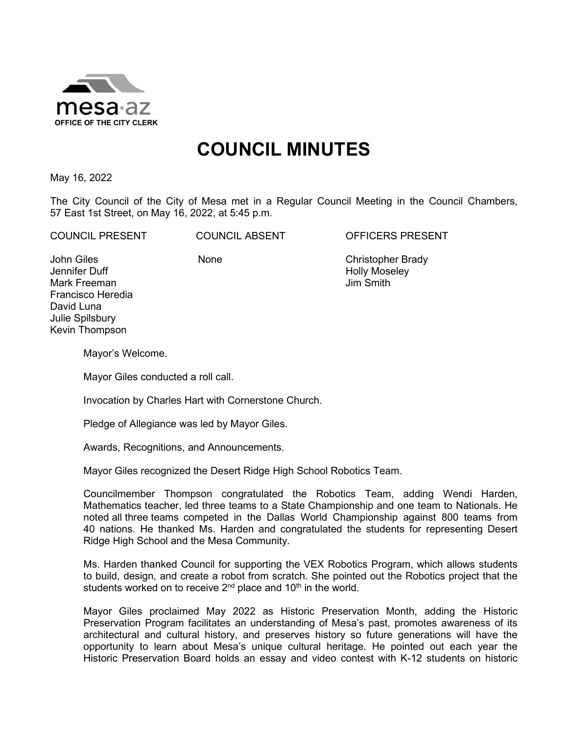

# **COUNCIL MINUTES**

May 16, 2022

The City Council of the City of Mesa met in a Regular Council Meeting in the Council Chambers, 57 East 1st Street, on May 16, 2022, at 5:45 p.m.

COUNCIL PRESENT COUNCIL ABSENT OFFICERS PRESENT

John Giles Jennifer Duff Mark Freeman Francisco Heredia David Luna Julie Spilsbury Kevin Thompson

None Christopher Brady Holly Moseley Jim Smith

Mayor's Welcome.

Mayor Giles conducted a roll call.

Invocation by Charles Hart with Cornerstone Church.

Pledge of Allegiance was led by Mayor Giles.

Awards, Recognitions, and Announcements.

Mayor Giles recognized the Desert Ridge High School Robotics Team.

Councilmember Thompson congratulated the Robotics Team, adding Wendi Harden, Mathematics teacher, led three teams to a State Championship and one team to Nationals. He noted all three teams competed in the Dallas World Championship against 800 teams from 40 nations. He thanked Ms. Harden and congratulated the students for representing Desert Ridge High School and the Mesa Community.

Ms. Harden thanked Council for supporting the VEX Robotics Program, which allows students to build, design, and create a robot from scratch. She pointed out the Robotics project that the students worked on to receive  $2<sup>nd</sup>$  place and 10<sup>th</sup> in the world.

Mayor Giles proclaimed May 2022 as Historic Preservation Month, adding the Historic Preservation Program facilitates an understanding of Mesa's past, promotes awareness of its architectural and cultural history, and preserves history so future generations will have the opportunity to learn about Mesa's unique cultural heritage. He pointed out each year the Historic Preservation Board holds an essay and video contest with K-12 students on historic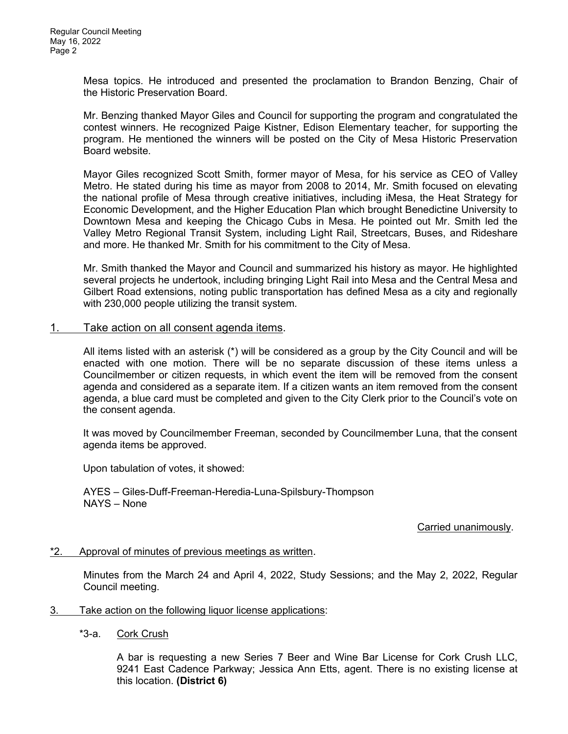Mesa topics. He introduced and presented the proclamation to Brandon Benzing, Chair of the Historic Preservation Board.

Mr. Benzing thanked Mayor Giles and Council for supporting the program and congratulated the contest winners. He recognized Paige Kistner, Edison Elementary teacher, for supporting the program. He mentioned the winners will be posted on the City of Mesa Historic Preservation Board website.

Mayor Giles recognized Scott Smith, former mayor of Mesa, for his service as CEO of Valley Metro. He stated during his time as mayor from 2008 to 2014, Mr. Smith focused on elevating the national profile of Mesa through creative initiatives, including iMesa, the Heat Strategy for Economic Development, and the Higher Education Plan which brought Benedictine University to Downtown Mesa and keeping the Chicago Cubs in Mesa. He pointed out Mr. Smith led the Valley Metro Regional Transit System, including Light Rail, Streetcars, Buses, and Rideshare and more. He thanked Mr. Smith for his commitment to the City of Mesa.

Mr. Smith thanked the Mayor and Council and summarized his history as mayor. He highlighted several projects he undertook, including bringing Light Rail into Mesa and the Central Mesa and Gilbert Road extensions, noting public transportation has defined Mesa as a city and regionally with 230,000 people utilizing the transit system.

### 1. Take action on all consent agenda items.

All items listed with an asterisk (\*) will be considered as a group by the City Council and will be enacted with one motion. There will be no separate discussion of these items unless a Councilmember or citizen requests, in which event the item will be removed from the consent agenda and considered as a separate item. If a citizen wants an item removed from the consent agenda, a blue card must be completed and given to the City Clerk prior to the Council's vote on the consent agenda.

It was moved by Councilmember Freeman, seconded by Councilmember Luna, that the consent agenda items be approved.

Upon tabulation of votes, it showed:

AYES – Giles-Duff-Freeman-Heredia-Luna-Spilsbury-Thompson NAYS – None

### Carried unanimously.

\*2. Approval of minutes of previous meetings as written.

Minutes from the March 24 and April 4, 2022, Study Sessions; and the May 2, 2022, Regular Council meeting.

- 3. Take action on the following liquor license applications:
	- \*3-a. Cork Crush

A bar is requesting a new Series 7 Beer and Wine Bar License for Cork Crush LLC, 9241 East Cadence Parkway; Jessica Ann Etts, agent. There is no existing license at this location. **(District 6)**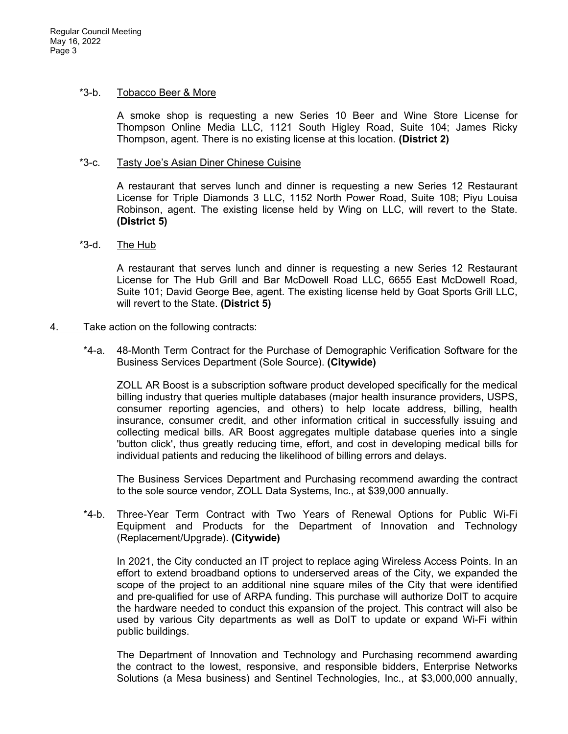#### \*3-b. Tobacco Beer & More

A smoke shop is requesting a new Series 10 Beer and Wine Store License for Thompson Online Media LLC, 1121 South Higley Road, Suite 104; James Ricky Thompson, agent. There is no existing license at this location. **(District 2)**

### \*3-c. Tasty Joe's Asian Diner Chinese Cuisine

A restaurant that serves lunch and dinner is requesting a new Series 12 Restaurant License for Triple Diamonds 3 LLC, 1152 North Power Road, Suite 108; Piyu Louisa Robinson, agent. The existing license held by Wing on LLC, will revert to the State. **(District 5)**

## \*3-d. The Hub

A restaurant that serves lunch and dinner is requesting a new Series 12 Restaurant License for The Hub Grill and Bar McDowell Road LLC, 6655 East McDowell Road, Suite 101; David George Bee, agent. The existing license held by Goat Sports Grill LLC, will revert to the State. **(District 5)**

#### 4. Take action on the following contracts:

\*4-a. 48-Month Term Contract for the Purchase of Demographic Verification Software for the Business Services Department (Sole Source). **(Citywide)**

ZOLL AR Boost is a subscription software product developed specifically for the medical billing industry that queries multiple databases (major health insurance providers, USPS, consumer reporting agencies, and others) to help locate address, billing, health insurance, consumer credit, and other information critical in successfully issuing and collecting medical bills. AR Boost aggregates multiple database queries into a single 'button click', thus greatly reducing time, effort, and cost in developing medical bills for individual patients and reducing the likelihood of billing errors and delays.

The Business Services Department and Purchasing recommend awarding the contract to the sole source vendor, ZOLL Data Systems, Inc., at \$39,000 annually.

\*4-b. Three-Year Term Contract with Two Years of Renewal Options for Public Wi-Fi Equipment and Products for the Department of Innovation and Technology (Replacement/Upgrade). **(Citywide)**

In 2021, the City conducted an IT project to replace aging Wireless Access Points. In an effort to extend broadband options to underserved areas of the City, we expanded the scope of the project to an additional nine square miles of the City that were identified and pre-qualified for use of ARPA funding. This purchase will authorize DoIT to acquire the hardware needed to conduct this expansion of the project. This contract will also be used by various City departments as well as DoIT to update or expand Wi-Fi within public buildings.

The Department of Innovation and Technology and Purchasing recommend awarding the contract to the lowest, responsive, and responsible bidders, Enterprise Networks Solutions (a Mesa business) and Sentinel Technologies, Inc., at \$3,000,000 annually,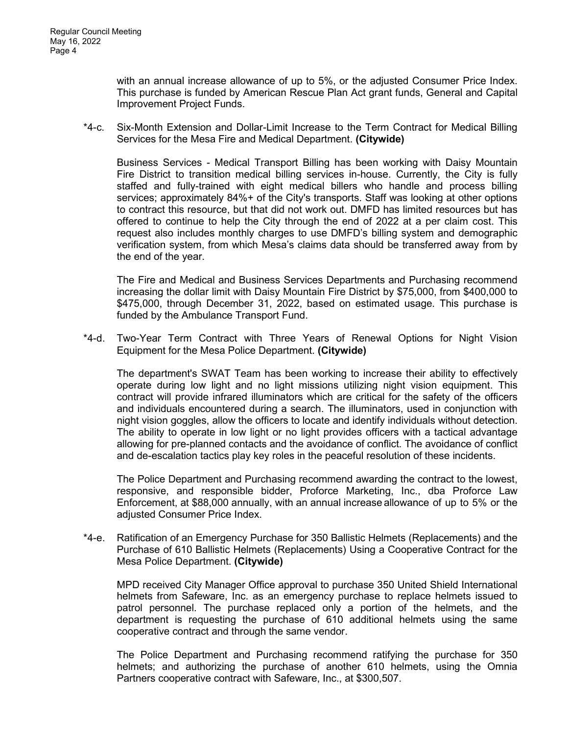with an annual increase allowance of up to 5%, or the adjusted Consumer Price Index. This purchase is funded by American Rescue Plan Act grant funds, General and Capital Improvement Project Funds.

\*4-c. Six-Month Extension and Dollar-Limit Increase to the Term Contract for Medical Billing Services for the Mesa Fire and Medical Department. **(Citywide)**

Business Services - Medical Transport Billing has been working with Daisy Mountain Fire District to transition medical billing services in-house. Currently, the City is fully staffed and fully-trained with eight medical billers who handle and process billing services; approximately 84%+ of the City's transports. Staff was looking at other options to contract this resource, but that did not work out. DMFD has limited resources but has offered to continue to help the City through the end of 2022 at a per claim cost. This request also includes monthly charges to use DMFD's billing system and demographic verification system, from which Mesa's claims data should be transferred away from by the end of the year.

The Fire and Medical and Business Services Departments and Purchasing recommend increasing the dollar limit with Daisy Mountain Fire District by \$75,000, from \$400,000 to \$475,000, through December 31, 2022, based on estimated usage. This purchase is funded by the Ambulance Transport Fund.

\*4-d. Two-Year Term Contract with Three Years of Renewal Options for Night Vision Equipment for the Mesa Police Department. **(Citywide)**

The department's SWAT Team has been working to increase their ability to effectively operate during low light and no light missions utilizing night vision equipment. This contract will provide infrared illuminators which are critical for the safety of the officers and individuals encountered during a search. The illuminators, used in conjunction with night vision goggles, allow the officers to locate and identify individuals without detection. The ability to operate in low light or no light provides officers with a tactical advantage allowing for pre-planned contacts and the avoidance of conflict. The avoidance of conflict and de-escalation tactics play key roles in the peaceful resolution of these incidents.

The Police Department and Purchasing recommend awarding the contract to the lowest, responsive, and responsible bidder, Proforce Marketing, Inc., dba Proforce Law Enforcement, at \$88,000 annually, with an annual increase allowance of up to 5% or the adiusted Consumer Price Index.

\*4-e. Ratification of an Emergency Purchase for 350 Ballistic Helmets (Replacements) and the Purchase of 610 Ballistic Helmets (Replacements) Using a Cooperative Contract for the Mesa Police Department. **(Citywide)**

MPD received City Manager Office approval to purchase 350 United Shield International helmets from Safeware, Inc. as an emergency purchase to replace helmets issued to patrol personnel. The purchase replaced only a portion of the helmets, and the department is requesting the purchase of 610 additional helmets using the same cooperative contract and through the same vendor.

The Police Department and Purchasing recommend ratifying the purchase for 350 helmets; and authorizing the purchase of another 610 helmets, using the Omnia Partners cooperative contract with Safeware, Inc., at \$300,507.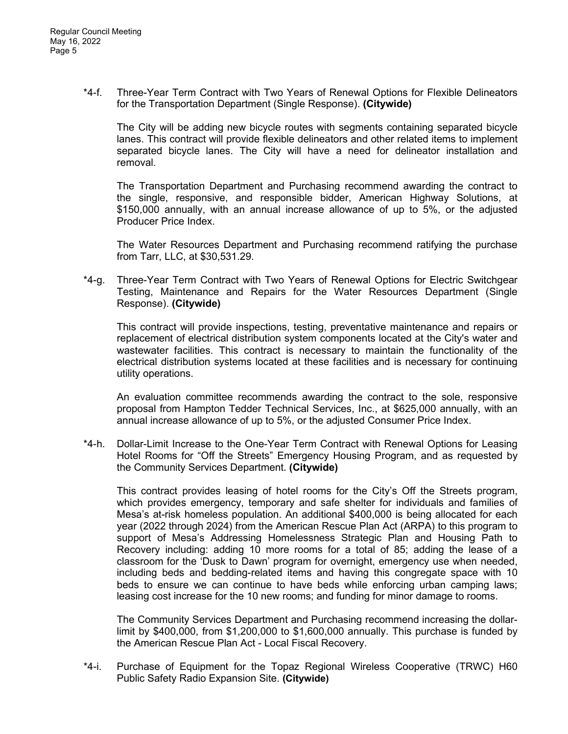\*4-f. Three-Year Term Contract with Two Years of Renewal Options for Flexible Delineators for the Transportation Department (Single Response). **(Citywide)**

The City will be adding new bicycle routes with segments containing separated bicycle lanes. This contract will provide flexible delineators and other related items to implement separated bicycle lanes. The City will have a need for delineator installation and removal.

The Transportation Department and Purchasing recommend awarding the contract to the single, responsive, and responsible bidder, American Highway Solutions, at \$150,000 annually, with an annual increase allowance of up to 5%, or the adjusted Producer Price Index.

The Water Resources Department and Purchasing recommend ratifying the purchase from Tarr, LLC, at \$30,531.29.

\*4-g. Three-Year Term Contract with Two Years of Renewal Options for Electric Switchgear Testing, Maintenance and Repairs for the Water Resources Department (Single Response). **(Citywide)**

This contract will provide inspections, testing, preventative maintenance and repairs or replacement of electrical distribution system components located at the City's water and wastewater facilities. This contract is necessary to maintain the functionality of the electrical distribution systems located at these facilities and is necessary for continuing utility operations.

An evaluation committee recommends awarding the contract to the sole, responsive proposal from Hampton Tedder Technical Services, Inc., at \$625,000 annually, with an annual increase allowance of up to 5%, or the adjusted Consumer Price Index.

\*4-h. Dollar-Limit Increase to the One-Year Term Contract with Renewal Options for Leasing Hotel Rooms for "Off the Streets" Emergency Housing Program, and as requested by the Community Services Department. **(Citywide)**

This contract provides leasing of hotel rooms for the City's Off the Streets program, which provides emergency, temporary and safe shelter for individuals and families of Mesa's at-risk homeless population. An additional \$400,000 is being allocated for each year (2022 through 2024) from the American Rescue Plan Act (ARPA) to this program to support of Mesa's Addressing Homelessness Strategic Plan and Housing Path to Recovery including: adding 10 more rooms for a total of 85; adding the lease of a classroom for the 'Dusk to Dawn' program for overnight, emergency use when needed, including beds and bedding-related items and having this congregate space with 10 beds to ensure we can continue to have beds while enforcing urban camping laws; leasing cost increase for the 10 new rooms; and funding for minor damage to rooms.

The Community Services Department and Purchasing recommend increasing the dollarlimit by \$400,000, from \$1,200,000 to \$1,600,000 annually. This purchase is funded by the American Rescue Plan Act - Local Fiscal Recovery.

\*4-i. Purchase of Equipment for the Topaz Regional Wireless Cooperative (TRWC) H60 Public Safety Radio Expansion Site. **(Citywide)**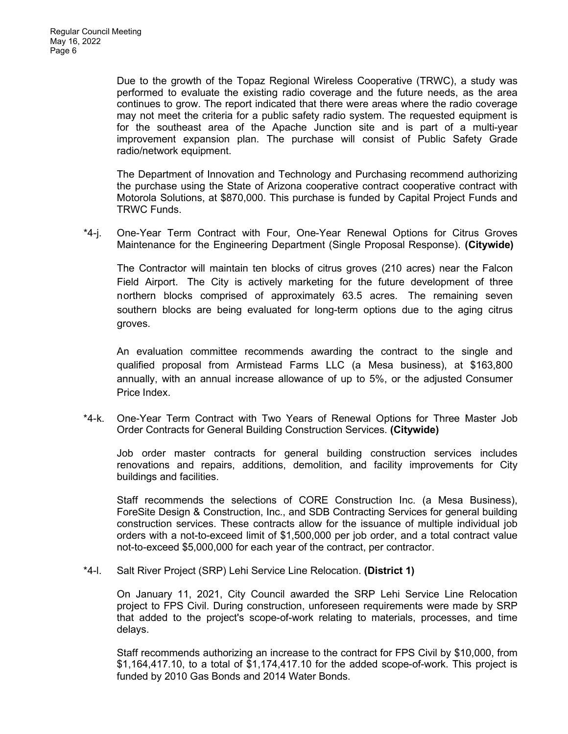Due to the growth of the Topaz Regional Wireless Cooperative (TRWC), a study was performed to evaluate the existing radio coverage and the future needs, as the area continues to grow. The report indicated that there were areas where the radio coverage may not meet the criteria for a public safety radio system. The requested equipment is for the southeast area of the Apache Junction site and is part of a multi-year improvement expansion plan. The purchase will consist of Public Safety Grade radio/network equipment.

The Department of Innovation and Technology and Purchasing recommend authorizing the purchase using the State of Arizona cooperative contract cooperative contract with Motorola Solutions, at \$870,000. This purchase is funded by Capital Project Funds and TRWC Funds.

\*4-j. One-Year Term Contract with Four, One-Year Renewal Options for Citrus Groves Maintenance for the Engineering Department (Single Proposal Response). **(Citywide)**

The Contractor will maintain ten blocks of citrus groves (210 acres) near the Falcon Field Airport. The City is actively marketing for the future development of three northern blocks comprised of approximately 63.5 acres. The remaining seven southern blocks are being evaluated for long-term options due to the aging citrus groves.

An evaluation committee recommends awarding the contract to the single and qualified proposal from Armistead Farms LLC (a Mesa business), at \$163,800 annually, with an annual increase allowance of up to 5%, or the adjusted Consumer Price Index.

\*4-k. One-Year Term Contract with Two Years of Renewal Options for Three Master Job Order Contracts for General Building Construction Services. **(Citywide)**

Job order master contracts for general building construction services includes renovations and repairs, additions, demolition, and facility improvements for City buildings and facilities.

Staff recommends the selections of CORE Construction Inc. (a Mesa Business), ForeSite Design & Construction, Inc., and SDB Contracting Services for general building construction services. These contracts allow for the issuance of multiple individual job orders with a not-to-exceed limit of \$1,500,000 per job order, and a total contract value not-to-exceed \$5,000,000 for each year of the contract, per contractor.

\*4-l. Salt River Project (SRP) Lehi Service Line Relocation. **(District 1)**

On January 11, 2021, City Council awarded the SRP Lehi Service Line Relocation project to FPS Civil. During construction, unforeseen requirements were made by SRP that added to the project's scope-of-work relating to materials, processes, and time delays.

Staff recommends authorizing an increase to the contract for FPS Civil by \$10,000, from \$1,164,417.10, to a total of \$1,174,417.10 for the added scope-of-work. This project is funded by 2010 Gas Bonds and 2014 Water Bonds.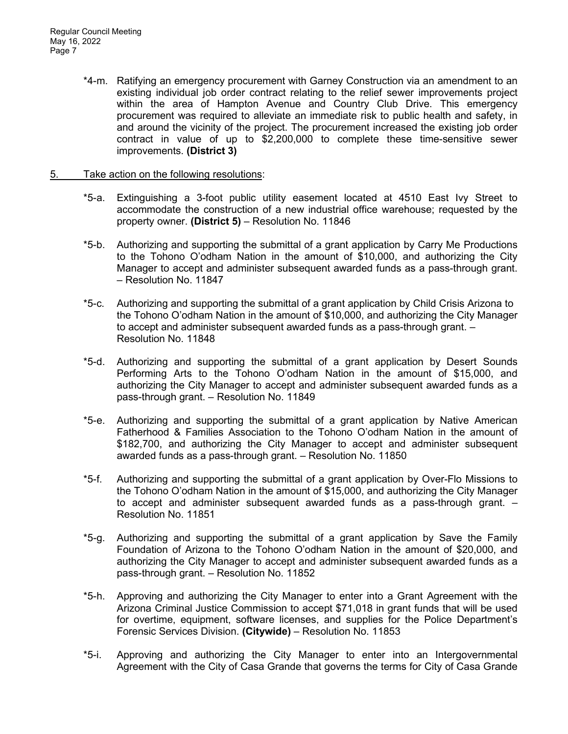\*4-m. Ratifying an emergency procurement with Garney Construction via an amendment to an existing individual job order contract relating to the relief sewer improvements project within the area of Hampton Avenue and Country Club Drive. This emergency procurement was required to alleviate an immediate risk to public health and safety, in and around the vicinity of the project. The procurement increased the existing job order contract in value of up to \$2,200,000 to complete these time-sensitive sewer improvements. **(District 3)**

## 5. Take action on the following resolutions:

- \*5-a. Extinguishing a 3-foot public utility easement located at 4510 East Ivy Street to accommodate the construction of a new industrial office warehouse; requested by the property owner. **(District 5)** – Resolution No. 11846
- \*5-b. Authorizing and supporting the submittal of a grant application by Carry Me Productions to the Tohono O'odham Nation in the amount of \$10,000, and authorizing the City Manager to accept and administer subsequent awarded funds as a pass-through grant. – Resolution No. 11847
- \*5-c. Authorizing and supporting the submittal of a grant application by Child Crisis Arizona to the Tohono O'odham Nation in the amount of \$10,000, and authorizing the City Manager to accept and administer subsequent awarded funds as a pass-through grant. – Resolution No. 11848
- \*5-d. Authorizing and supporting the submittal of a grant application by Desert Sounds Performing Arts to the Tohono O'odham Nation in the amount of \$15,000, and authorizing the City Manager to accept and administer subsequent awarded funds as a pass-through grant. – Resolution No. 11849
- \*5-e. Authorizing and supporting the submittal of a grant application by Native American Fatherhood & Families Association to the Tohono O'odham Nation in the amount of \$182,700, and authorizing the City Manager to accept and administer subsequent awarded funds as a pass-through grant. – Resolution No. 11850
- \*5-f. Authorizing and supporting the submittal of a grant application by Over-Flo Missions to the Tohono O'odham Nation in the amount of \$15,000, and authorizing the City Manager to accept and administer subsequent awarded funds as a pass-through grant. – Resolution No. 11851
- \*5-g. Authorizing and supporting the submittal of a grant application by Save the Family Foundation of Arizona to the Tohono O'odham Nation in the amount of \$20,000, and authorizing the City Manager to accept and administer subsequent awarded funds as a pass-through grant. – Resolution No. 11852
- \*5-h. Approving and authorizing the City Manager to enter into a Grant Agreement with the Arizona Criminal Justice Commission to accept \$71,018 in grant funds that will be used for overtime, equipment, software licenses, and supplies for the Police Department's Forensic Services Division. **(Citywide)** – Resolution No. 11853
- \*5-i. Approving and authorizing the City Manager to enter into an Intergovernmental Agreement with the City of Casa Grande that governs the terms for City of Casa Grande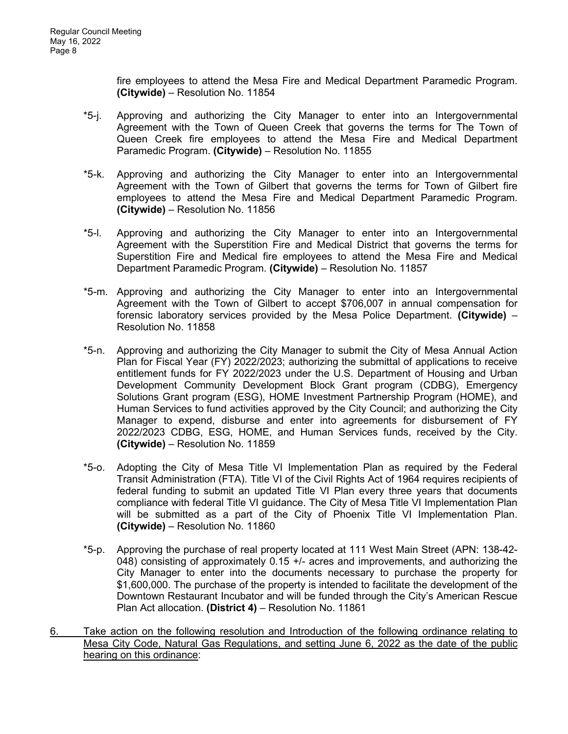fire employees to attend the Mesa Fire and Medical Department Paramedic Program. **(Citywide)** – Resolution No. 11854

- \*5-j. Approving and authorizing the City Manager to enter into an Intergovernmental Agreement with the Town of Queen Creek that governs the terms for The Town of Queen Creek fire employees to attend the Mesa Fire and Medical Department Paramedic Program. **(Citywide)** – Resolution No. 11855
- \*5-k. Approving and authorizing the City Manager to enter into an Intergovernmental Agreement with the Town of Gilbert that governs the terms for Town of Gilbert fire employees to attend the Mesa Fire and Medical Department Paramedic Program. **(Citywide)** – Resolution No. 11856
- \*5-l. Approving and authorizing the City Manager to enter into an Intergovernmental Agreement with the Superstition Fire and Medical District that governs the terms for Superstition Fire and Medical fire employees to attend the Mesa Fire and Medical Department Paramedic Program. **(Citywide)** – Resolution No. 11857
- \*5-m. Approving and authorizing the City Manager to enter into an Intergovernmental Agreement with the Town of Gilbert to accept \$706,007 in annual compensation for forensic laboratory services provided by the Mesa Police Department. **(Citywide)** – Resolution No. 11858
- \*5-n. Approving and authorizing the City Manager to submit the City of Mesa Annual Action Plan for Fiscal Year (FY) 2022/2023; authorizing the submittal of applications to receive entitlement funds for FY 2022/2023 under the U.S. Department of Housing and Urban Development Community Development Block Grant program (CDBG), Emergency Solutions Grant program (ESG), HOME Investment Partnership Program (HOME), and Human Services to fund activities approved by the City Council; and authorizing the City Manager to expend, disburse and enter into agreements for disbursement of FY 2022/2023 CDBG, ESG, HOME, and Human Services funds, received by the City. **(Citywide)** – Resolution No. 11859
- \*5-o. Adopting the City of Mesa Title VI Implementation Plan as required by the Federal Transit Administration (FTA). Title VI of the Civil Rights Act of 1964 requires recipients of federal funding to submit an updated Title VI Plan every three years that documents compliance with federal Title VI guidance. The City of Mesa Title VI Implementation Plan will be submitted as a part of the City of Phoenix Title VI Implementation Plan. **(Citywide)** – Resolution No. 11860
- \*5-p. Approving the purchase of real property located at 111 West Main Street (APN: 138-42- 048) consisting of approximately 0.15 +/- acres and improvements, and authorizing the City Manager to enter into the documents necessary to purchase the property for \$1,600,000. The purchase of the property is intended to facilitate the development of the Downtown Restaurant Incubator and will be funded through the City's American Rescue Plan Act allocation. **(District 4)** – Resolution No. 11861
- 6. Take action on the following resolution and Introduction of the following ordinance relating to Mesa City Code, Natural Gas Regulations, and setting June 6, 2022 as the date of the public hearing on this ordinance: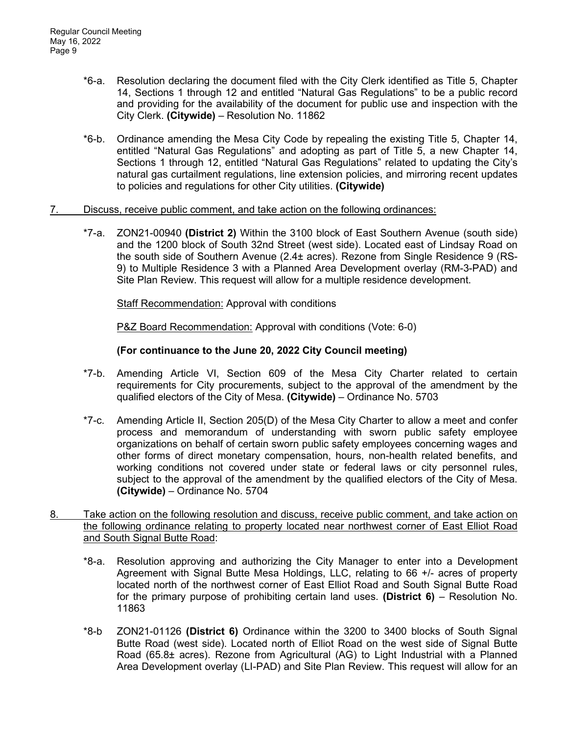- \*6-a. Resolution declaring the document filed with the City Clerk identified as Title 5, Chapter 14, Sections 1 through 12 and entitled "Natural Gas Regulations" to be a public record and providing for the availability of the document for public use and inspection with the City Clerk. **(Citywide)** – Resolution No. 11862
- \*6-b. Ordinance amending the Mesa City Code by repealing the existing Title 5, Chapter 14, entitled "Natural Gas Regulations" and adopting as part of Title 5, a new Chapter 14, Sections 1 through 12, entitled "Natural Gas Regulations" related to updating the City's natural gas curtailment regulations, line extension policies, and mirroring recent updates to policies and regulations for other City utilities. **(Citywide)**
- 7. Discuss, receive public comment, and take action on the following ordinances:
	- \*7-a. ZON21-00940 **(District 2)** Within the 3100 block of East Southern Avenue (south side) and the 1200 block of South 32nd Street (west side). Located east of Lindsay Road on the south side of Southern Avenue (2.4± acres). Rezone from Single Residence 9 (RS-9) to Multiple Residence 3 with a Planned Area Development overlay (RM-3-PAD) and Site Plan Review. This request will allow for a multiple residence development.

Staff Recommendation: Approval with conditions

P&Z Board Recommendation: Approval with conditions (Vote: 6-0)

## **(For continuance to the June 20, 2022 City Council meeting)**

- \*7-b. Amending Article VI, Section 609 of the Mesa City Charter related to certain requirements for City procurements, subject to the approval of the amendment by the qualified electors of the City of Mesa. **(Citywide)** – Ordinance No. 5703
- \*7-c. Amending Article II, Section 205(D) of the Mesa City Charter to allow a meet and confer process and memorandum of understanding with sworn public safety employee organizations on behalf of certain sworn public safety employees concerning wages and other forms of direct monetary compensation, hours, non-health related benefits, and working conditions not covered under state or federal laws or city personnel rules, subject to the approval of the amendment by the qualified electors of the City of Mesa. **(Citywide)** – Ordinance No. 5704
- 8. Take action on the following resolution and discuss, receive public comment, and take action on the following ordinance relating to property located near northwest corner of East Elliot Road and South Signal Butte Road:
	- \*8-a. Resolution approving and authorizing the City Manager to enter into a Development Agreement with Signal Butte Mesa Holdings, LLC, relating to 66 +/- acres of property located north of the northwest corner of East Elliot Road and South Signal Butte Road for the primary purpose of prohibiting certain land uses. **(District 6)** – Resolution No. 11863
	- \*8-b ZON21-01126 **(District 6)** Ordinance within the 3200 to 3400 blocks of South Signal Butte Road (west side). Located north of Elliot Road on the west side of Signal Butte Road (65.8± acres). Rezone from Agricultural (AG) to Light Industrial with a Planned Area Development overlay (LI-PAD) and Site Plan Review. This request will allow for an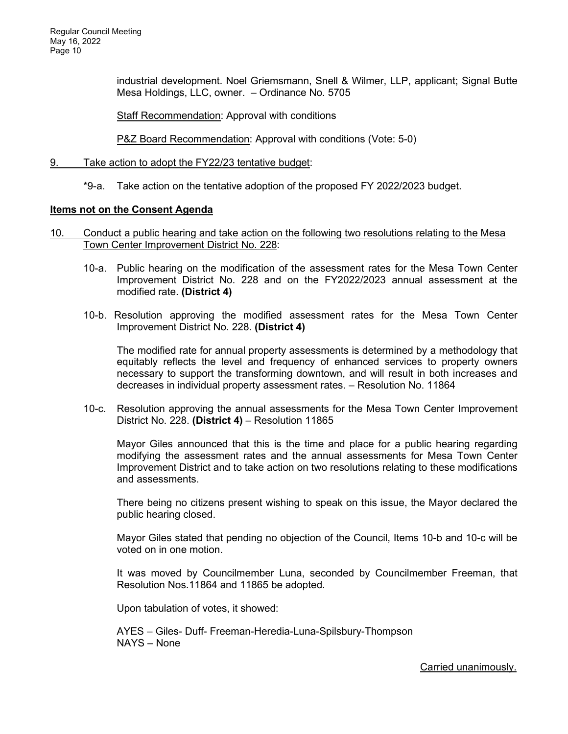industrial development. Noel Griemsmann, Snell & Wilmer, LLP, applicant; Signal Butte Mesa Holdings, LLC, owner. – Ordinance No. 5705

Staff Recommendation: Approval with conditions

P&Z Board Recommendation: Approval with conditions (Vote: 5-0)

- 9. Take action to adopt the FY22/23 tentative budget:
	- \*9-a. Take action on the tentative adoption of the proposed FY 2022/2023 budget.

### **Items not on the Consent Agenda**

- 10. Conduct a public hearing and take action on the following two resolutions relating to the Mesa Town Center Improvement District No. 228:
	- 10-a. Public hearing on the modification of the assessment rates for the Mesa Town Center Improvement District No. 228 and on the FY2022/2023 annual assessment at the modified rate. **(District 4)**
	- 10-b. Resolution approving the modified assessment rates for the Mesa Town Center Improvement District No. 228. **(District 4)**

The modified rate for annual property assessments is determined by a methodology that equitably reflects the level and frequency of enhanced services to property owners necessary to support the transforming downtown, and will result in both increases and decreases in individual property assessment rates. – Resolution No. 11864

10-c. Resolution approving the annual assessments for the Mesa Town Center Improvement District No. 228. **(District 4)** – Resolution 11865

Mayor Giles announced that this is the time and place for a public hearing regarding modifying the assessment rates and the annual assessments for Mesa Town Center Improvement District and to take action on two resolutions relating to these modifications and assessments.

There being no citizens present wishing to speak on this issue, the Mayor declared the public hearing closed.

Mayor Giles stated that pending no objection of the Council, Items 10-b and 10-c will be voted on in one motion.

It was moved by Councilmember Luna, seconded by Councilmember Freeman, that Resolution Nos.11864 and 11865 be adopted.

Upon tabulation of votes, it showed:

 AYES – Giles- Duff- Freeman-Heredia-Luna-Spilsbury-Thompson NAYS – None

Carried unanimously.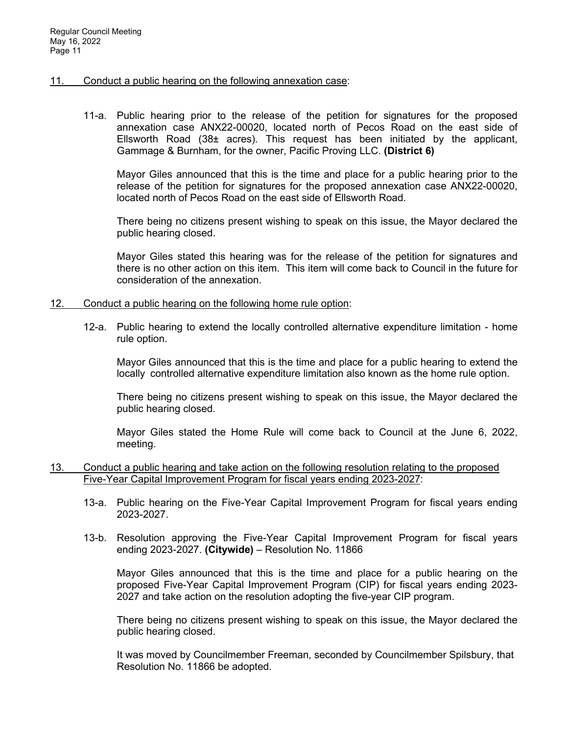### 11. Conduct a public hearing on the following annexation case:

11-a. Public hearing prior to the release of the petition for signatures for the proposed annexation case ANX22-00020, located north of Pecos Road on the east side of Ellsworth Road (38 $\pm$  acres). This request has been initiated by the applicant, Gammage & Burnham, for the owner, Pacific Proving LLC. **(District 6)**

Mayor Giles announced that this is the time and place for a public hearing prior to the release of the petition for signatures for the proposed annexation case ANX22-00020, located north of Pecos Road on the east side of Ellsworth Road.

There being no citizens present wishing to speak on this issue, the Mayor declared the public hearing closed.

Mayor Giles stated this hearing was for the release of the petition for signatures and there is no other action on this item. This item will come back to Council in the future for consideration of the annexation.

#### 12. Conduct a public hearing on the following home rule option:

12-a. Public hearing to extend the locally controlled alternative expenditure limitation - home rule option.

Mayor Giles announced that this is the time and place for a public hearing to extend the locally controlled alternative expenditure limitation also known as the home rule option.

There being no citizens present wishing to speak on this issue, the Mayor declared the public hearing closed.

Mayor Giles stated the Home Rule will come back to Council at the June 6, 2022, meeting.

- 13. Conduct a public hearing and take action on the following resolution relating to the proposed Five-Year Capital Improvement Program for fiscal years ending 2023-2027:
	- 13-a. Public hearing on the Five-Year Capital Improvement Program for fiscal years ending 2023-2027.
	- 13-b. Resolution approving the Five-Year Capital Improvement Program for fiscal years ending 2023-2027. **(Citywide)** – Resolution No. 11866

 Mayor Giles announced that this is the time and place for a public hearing on the proposed Five-Year Capital Improvement Program (CIP) for fiscal years ending 2023- 2027 and take action on the resolution adopting the five-year CIP program.

There being no citizens present wishing to speak on this issue, the Mayor declared the public hearing closed.

It was moved by Councilmember Freeman, seconded by Councilmember Spilsbury, that Resolution No. 11866 be adopted.